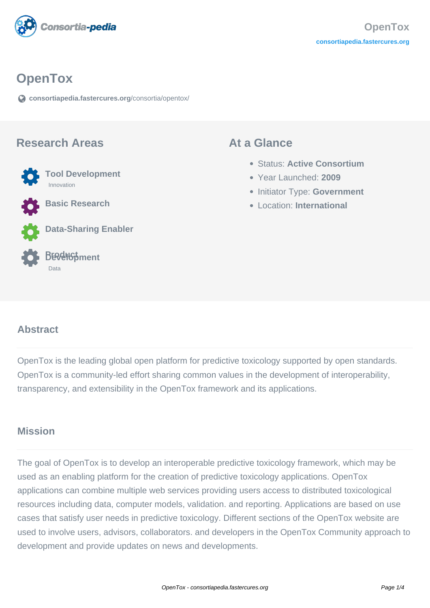

# **OpenTox**

**[consortiapedia.fastercures.org](https://consortiapedia.fastercures.org/consortia/opentox/)**[/consortia/opentox/](https://consortiapedia.fastercures.org/consortia/opentox/)

#### **Research Areas**



**Data-Sharing Enabler**



#### **At a Glance**

- Status: **Active Consortium**
- Year Launched: **2009**
- **Initiator Type: Government**
- Location: **International**

#### $\overline{a}$ **Abstract**

OpenTox is the leading global open platform for predictive toxicology supported by open standards. OpenTox is a community-led effort sharing common values in the development of interoperability, transparency, and extensibility in the OpenTox framework and its applications.

## **Mission**

The goal of OpenTox is to develop an interoperable predictive toxicology framework, which may be used as an enabling platform for the creation of predictive toxicology applications. OpenTox applications can combine multiple web services providing users access to distributed toxicological resources including data, computer models, validation. and reporting. Applications are based on use cases that satisfy user needs in predictive toxicology. Different sections of the OpenTox website are used to involve users, advisors, collaborators. and developers in the OpenTox Community approach to development and provide updates on news and developments.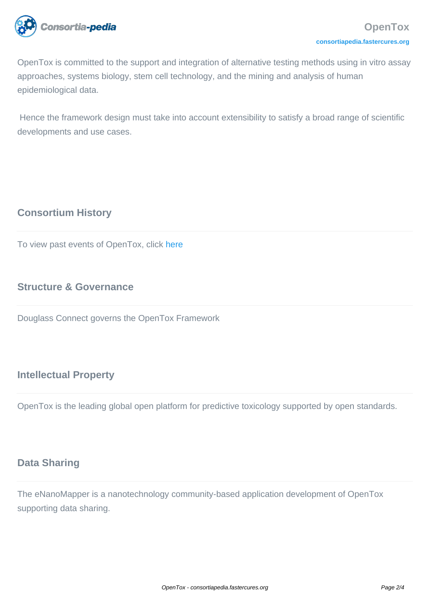

OpenTox is committed to the support and integration of alternative testing methods using in vitro assay approaches, systems biology, stem cell technology, and the mining and analysis of human epidemiological data.

 Hence the framework design must take into account extensibility to satisfy a broad range of scientific developments and use cases.

# **Consortium History**

To view past events of OpenTox, click [here](http://www.opentox.net/events-and-meetings/past-events)

# **Structure & Governance**

Douglass Connect governs the OpenTox Framework

## **Intellectual Property**

OpenTox is the leading global open platform for predictive toxicology supported by open standards.

# **Data Sharing**

The eNanoMapper is a nanotechnology community-based application development of OpenTox supporting data sharing.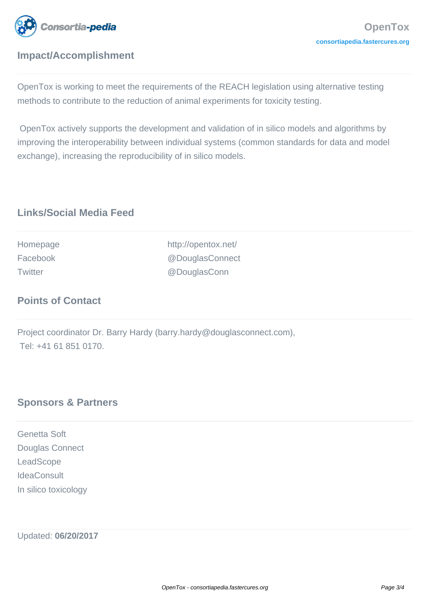

# **Impact/Accomplishment**

OpenTox is working to meet the requirements of the REACH legislation using alternative testing methods to contribute to the reduction of animal experiments for toxicity testing.

 OpenTox actively supports the development and validation of in silico models and algorithms by improving the interoperability between individual systems (common standards for data and model exchange), increasing the reproducibility of in silico models.

# **Links/Social Media Feed**

| Homepage       | http://opentox.net/ |
|----------------|---------------------|
| Facebook       | @DouglasConnect     |
| <b>Twitter</b> | @DouglasConn        |

## **Points of Contact**

Project coordinator Dr. Barry Hardy (barry.hardy@douglasconnect.com), Tel: +41 61 851 0170.

## **Sponsors & Partners**

Genetta Soft Douglas Connect **LeadScope IdeaConsult** In silico toxicology

Updated: **06/20/2017**